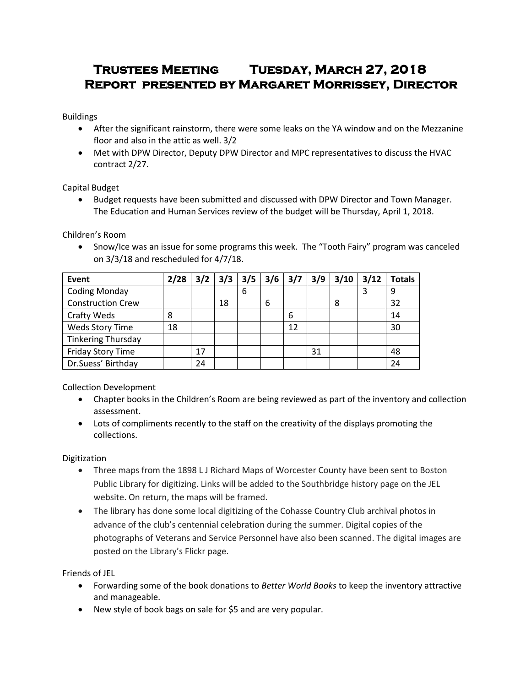# **Trustees Meeting Tuesday, March 27, 2018 Report presented by Margaret Morrissey, Director**

Buildings

- After the significant rainstorm, there were some leaks on the YA window and on the Mezzanine floor and also in the attic as well. 3/2
- Met with DPW Director, Deputy DPW Director and MPC representatives to discuss the HVAC contract 2/27.

Capital Budget

 Budget requests have been submitted and discussed with DPW Director and Town Manager. The Education and Human Services review of the budget will be Thursday, April 1, 2018.

Children's Room

• Snow/Ice was an issue for some programs this week. The "Tooth Fairy" program was canceled on 3/3/18 and rescheduled for 4/7/18.

| Event                     | 2/28 | 3/2 | 3/3 | 3/5 | 3/6 | 3/7 | 3/9 | 3/10 | 3/12 | <b>Totals</b> |
|---------------------------|------|-----|-----|-----|-----|-----|-----|------|------|---------------|
| <b>Coding Monday</b>      |      |     |     | 6   |     |     |     |      |      | 9             |
| <b>Construction Crew</b>  |      |     | 18  |     | 6   |     |     | 8    |      | 32            |
| Crafty Weds               | 8    |     |     |     |     | 6   |     |      |      | 14            |
| Weds Story Time           | 18   |     |     |     |     | 12  |     |      |      | 30            |
| <b>Tinkering Thursday</b> |      |     |     |     |     |     |     |      |      |               |
| Friday Story Time         |      | 17  |     |     |     |     | 31  |      |      | 48            |
| Dr.Suess' Birthday        |      | 24  |     |     |     |     |     |      |      | 24            |

Collection Development

- Chapter books in the Children's Room are being reviewed as part of the inventory and collection assessment.
- Lots of compliments recently to the staff on the creativity of the displays promoting the collections.

Digitization

- Three maps from the 1898 L J Richard Maps of Worcester County have been sent to Boston Public Library for digitizing. Links will be added to the Southbridge history page on the JEL website. On return, the maps will be framed.
- The library has done some local digitizing of the Cohasse Country Club archival photos in advance of the club's centennial celebration during the summer. Digital copies of the photographs of Veterans and Service Personnel have also been scanned. The digital images are posted on the Library's Flickr page.

Friends of JEL

- Forwarding some of the book donations to *Better World Books* to keep the inventory attractive and manageable.
- New style of book bags on sale for \$5 and are very popular.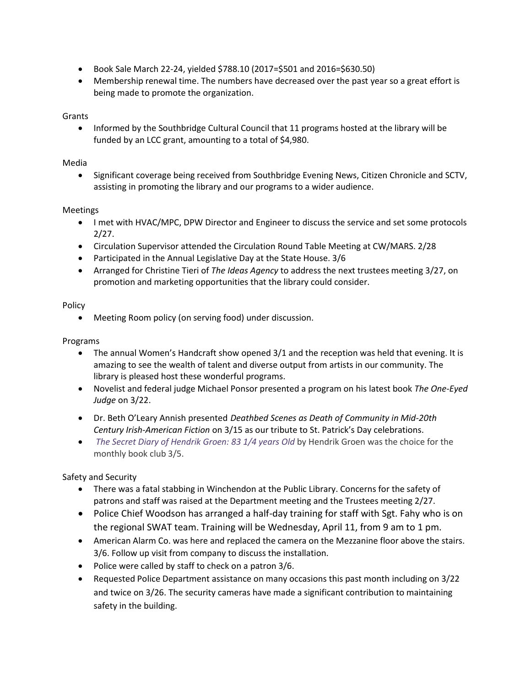- Book Sale March 22-24, yielded \$788.10 (2017=\$501 and 2016=\$630.50)
- Membership renewal time. The numbers have decreased over the past year so a great effort is being made to promote the organization.

## Grants

• Informed by the Southbridge Cultural Council that 11 programs hosted at the library will be funded by an LCC grant, amounting to a total of \$4,980.

### Media

• Significant coverage being received from Southbridge Evening News, Citizen Chronicle and SCTV, assisting in promoting the library and our programs to a wider audience.

### Meetings

- I met with HVAC/MPC, DPW Director and Engineer to discuss the service and set some protocols 2/27.
- Circulation Supervisor attended the Circulation Round Table Meeting at CW/MARS. 2/28
- Participated in the Annual Legislative Day at the State House. 3/6
- Arranged for Christine Tieri of *The Ideas Agency* to address the next trustees meeting 3/27, on promotion and marketing opportunities that the library could consider.

### Policy

Meeting Room policy (on serving food) under discussion.

#### Programs

- The annual Women's Handcraft show opened 3/1 and the reception was held that evening. It is amazing to see the wealth of talent and diverse output from artists in our community. The library is pleased host these wonderful programs.
- Novelist and federal judge Michael Ponsor presented a program on his latest book *The One-Eyed Judge* on 3/22.
- Dr. Beth O'Leary Annish presented *Deathbed Scenes as Death of Community in Mid-20th Century Irish-American Fiction* on 3/15 as our tribute to St. Patrick's Day celebrations.
- *[The Secret Diary of Hendrik Groen:](http://southbridge.cwmars.org/eg/opac/record/4054949?locg=107) 83 1/4 years Old* by Hendrik Groen was the choice for the monthly book club 3/5.

Safety and Security

- There was a fatal stabbing in Winchendon at the Public Library. Concerns for the safety of patrons and staff was raised at the Department meeting and the Trustees meeting 2/27.
- Police Chief Woodson has arranged a half-day training for staff with Sgt. Fahy who is on the regional SWAT team. Training will be Wednesday, April 11, from 9 am to 1 pm.
- American Alarm Co. was here and replaced the camera on the Mezzanine floor above the stairs. 3/6. Follow up visit from company to discuss the installation.
- Police were called by staff to check on a patron 3/6.
- Requested Police Department assistance on many occasions this past month including on 3/22 and twice on 3/26. The security cameras have made a significant contribution to maintaining safety in the building.